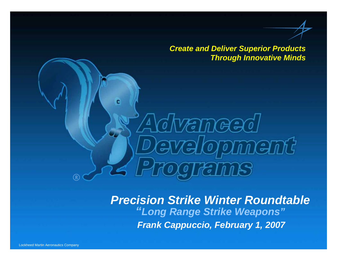*Create and Deliver Superior Products Through Innovative Minds*

**Lopment** 

*Frank Cappuccio, February 1, 2007 Precision Strike Winter Roundtable "Long Range Strike Weapons"*

**VETTIGE** 

دِ صَ

 $\lambda$ a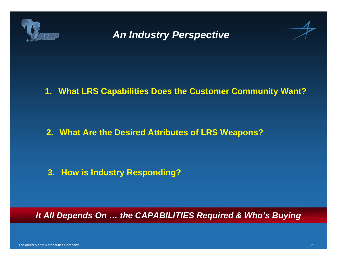



**1. What LRS Capabilities Does the Customer Community Want?**

**2. What Are the Desired Attributes of LRS Weapons?**

**3. How is Industry Responding?**

*It All Depends On … the CAPABILITIES Required & Who's Buying*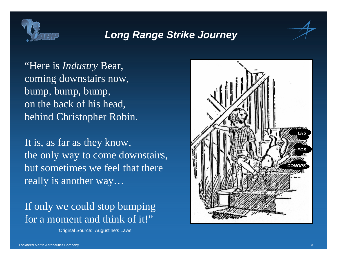

## *Long Range Strike Journey*

"Here is *Industry* Bear, coming downstairs now, bump, bump, bump, on the back of his head, behind Christopher Robin.

It is, as far as they know, the only way to come downstairs, but sometimes we feel that there really is another way…

If only we could stop bumping for a moment and think of it!"

Original Source: Augustine's Laws

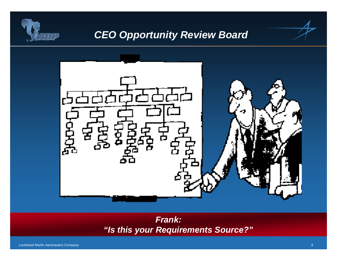

# *CEO Opportunity Review Board*



### *Frank: "Is this your Requirements Source?"*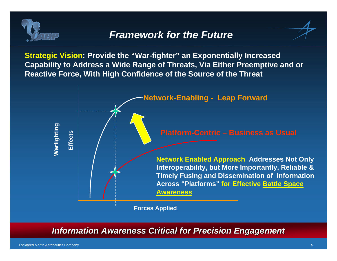

### *Framework for the Future*

**Strategic Vision: Provide the "War-fighter" an Exponentially Increased Capability to Address a Wide Range of Threats, Via Either Preemptive and or Reactive Force, With High Confidence of the Source of the Threat**



**Information Awareness Critical for Precision Engagement**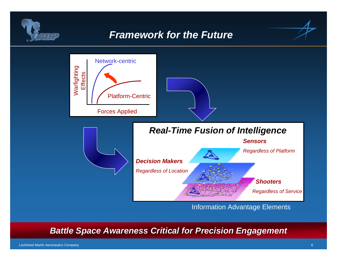

# *Framework for the Future*



**Battle Space Awareness Critical for Precision Engagement** 

Lockheed Martin Aeronautics Company 6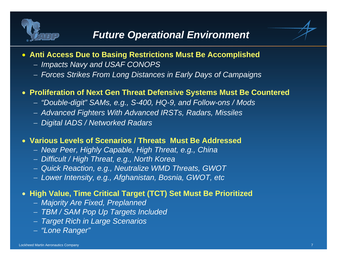

- **Anti Access Due to Basing Restrictions Must Be Accomplished**
	- − *Impacts Navy and USAF CONOPS*
	- −*Forces Strikes From Long Distances in Early Days of Campaigns*

#### • **Proliferation of Next Gen Threat Defensive Systems Must Be Countered**

- −*"Double-digit" SAMs, e.g., S-400, HQ-9, and Follow-ons / Mods*
- −*Advanced Fighters With Advanced IRSTs, Radars, Missiles*
- *Digital IADS / Networked Radars*

#### • **Various Levels of Scenarios / Threats Must Be Addressed**

- −*Near Peer, Highly Capable, High Threat, e.g., China*
- −*Difficult / High Threat, e.g., North Korea*
- *Quick Reaction, e.g., Neutralize WMD Threats, GWOT*
- *Lower Intensity, e.g., Afghanistan, Bosnia, GWOT, etc*

#### • **High Value, Time Critical Target (TCT) Set Must Be Prioritized**

- − *Majority Are Fixed, Preplanned*
- *TBM / SAM Pop Up Targets Included*
- *Target Rich in Large Scenarios*
- − *"Lone Ranger"*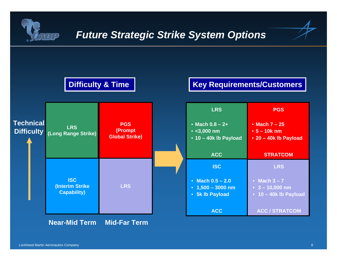

## *Future Strategic Strike System Options*

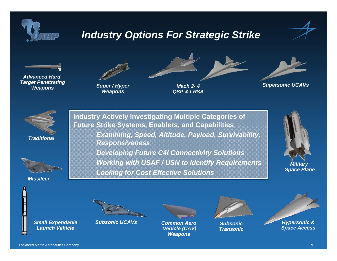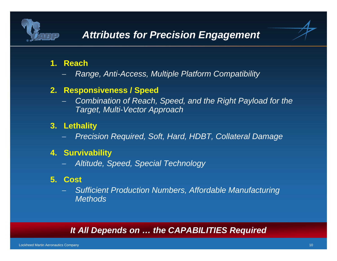

# *Attributes for Precision Engagement*

### **1. Reach**

*Range, Anti-Access, Multiple Platform Compatibility*

### **2. Responsiveness / Speed**

 *Combination of Reach, Speed, and the Right Payload for the Target, Multi-Vector Approach*

### **3. Lethality**

*Precision Required, Soft, Hard, HDBT, Collateral Damage*

#### **4. Survivability**

*Altitude, Speed, Special Technology*

#### **5. Cost**

 *Sufficient Production Numbers, Affordable Manufacturing Methods*

#### *It All Depends on … the CAPABILITIES Required*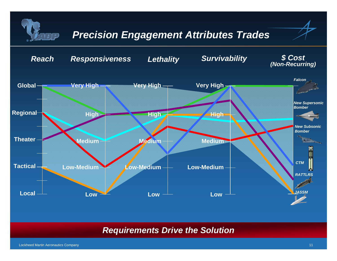

#### *Requirements Drive the Solution*

Lockheed Martin Aeronautics Company 11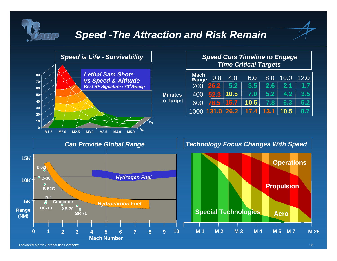

### *Speed -The Attraction and Risk Remain*

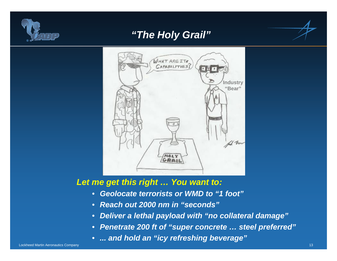

## *"The Holy Grail"*



#### *Let me get this right … You want to:*

- *Geolocate terrorists or WMD to "1 foot"*
- •*Reach out 2000 nm in "seconds"*
- •*Deliver a lethal payload with "no collateral damage"*
- •*Penetrate 200 ft of "super concrete … steel preferred"*
- *... and hold an "icy refreshing beverage"*